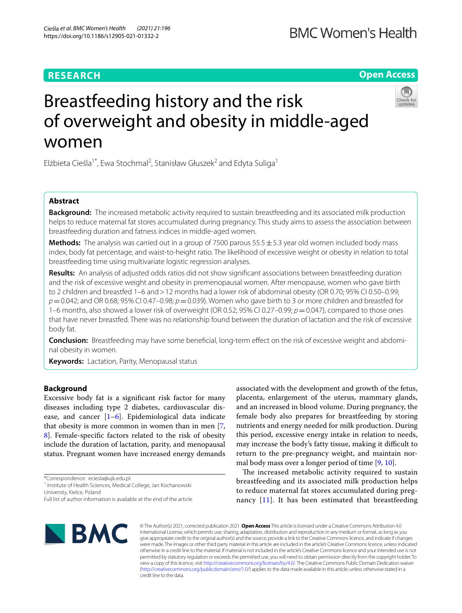# **RESEARCH**

**Open Access**

# Breastfeeding history and the risk of overweight and obesity in middle-aged women

Elżbieta Cieśla<sup>1\*</sup>, Ewa Stochmal<sup>2</sup>, Stanisław Głuszek<sup>2</sup> and Edyta Suliga<sup>1</sup>

# **Abstract**

**Background:** The increased metabolic activity required to sustain breastfeeding and its associated milk production helps to reduce maternal fat stores accumulated during pregnancy. This study aims to assess the association between breastfeeding duration and fatness indices in middle-aged women.

**Methods:** The analysis was carried out in a group of 7500 parous 55.5 ± 5.3 year old women included body mass index, body fat percentage, and waist-to-height ratio. The likelihood of excessive weight or obesity in relation to total breastfeeding time using multivariate logistic regression analyses.

**Results:** An analysis of adjusted odds ratios did not show signifcant associations between breastfeeding duration and the risk of excessive weight and obesity in premenopausal women. After menopause, women who gave birth to 2 children and breastfed 1–6 and > 12 months had a lower risk of abdominal obesity (OR 0.70; 95% CI 0.50–0.99; *p*=0.042; and OR 0.68; 95% CI 0.47–0.98; *p*=0.039). Women who gave birth to 3 or more children and breastfed for 1–6 months, also showed a lower risk of overweight (OR 0.52; 95% CI 0.27–0.99;  $p = 0.047$ ), compared to those ones that have never breastfed. There was no relationship found between the duration of lactation and the risk of excessive body fat.

**Conclusion:** Breastfeeding may have some beneficial, long-term effect on the risk of excessive weight and abdominal obesity in women.

**Keywords:** Lactation, Parity, Menopausal status

# **Background**

Excessive body fat is a signifcant risk factor for many diseases including type 2 diabetes, cardiovascular disease, and cancer  $[1-6]$  $[1-6]$  $[1-6]$ . Epidemiological data indicate that obesity is more common in women than in men [\[7](#page-7-2), [8\]](#page-7-3). Female-specifc factors related to the risk of obesity include the duration of lactation, parity, and menopausal status. Pregnant women have increased energy demands

\*Correspondence: eciesla@ujk.edu.pl

<sup>1</sup> Institute of Health Sciences, Medical College, Jan Kochanowski

University, Kielce, Poland

associated with the development and growth of the fetus, placenta, enlargement of the uterus, mammary glands, and an increased in blood volume. During pregnancy, the female body also prepares for breastfeeding by storing nutrients and energy needed for milk production. During this period, excessive energy intake in relation to needs, may increase the body's fatty tissue, making it difficult to return to the pre-pregnancy weight, and maintain normal body mass over a longer period of time  $[9, 10]$  $[9, 10]$  $[9, 10]$  $[9, 10]$ .

The increased metabolic activity required to sustain breastfeeding and its associated milk production helps to reduce maternal fat stores accumulated during pregnancy [[11](#page-7-6)]. It has been estimated that breastfeeding



© The Author(s) 2021, corrected publication 2021. **Open Access** This article is licensed under a Creative Commons Attribution 4.0 International License, which permits use, sharing, adaptation, distribution and reproduction in any medium or format, as long as you give appropriate credit to the original author(s) and the source, provide a link to the Creative Commons licence, and indicate if changes were made. The images or other third party material in this article are included in the article's Creative Commons licence, unless indicated otherwise in a credit line to the material. If material is not included in the article's Creative Commons licence and your intended use is not permitted by statutory regulation or exceeds the permitted use, you will need to obtain permission directly from the copyright holder. To view a copy of this licence, visit [http://creativecommons.org/licenses/by/4.0/.](http://creativecommons.org/licenses/by/4.0/) The Creative Commons Public Domain Dedication waiver [\(http://creativecommons.org/publicdomain/zero/1.0/\)](http://creativecommons.org/publicdomain/zero/1.0/) applies to the data made available in this article, unless otherwise stated in a credit line to the data.

Full list of author information is available at the end of the article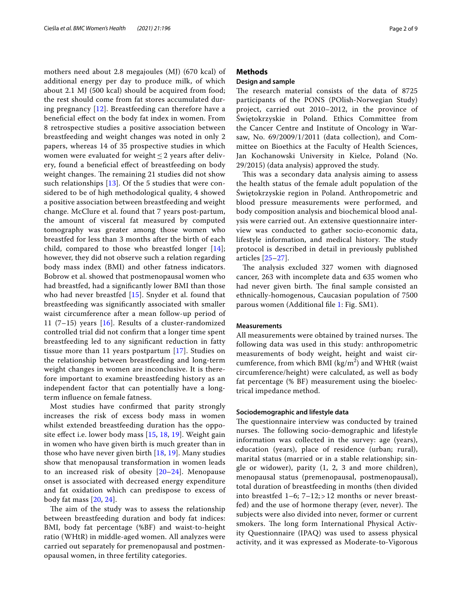mothers need about 2.8 megajoules (MJ) (670 kcal) of additional energy per day to produce milk, of which about 2.1 MJ (500 kcal) should be acquired from food; the rest should come from fat stores accumulated during pregnancy [[12\]](#page-7-7). Breastfeeding can therefore have a benefcial efect on the body fat index in women. From 8 retrospective studies a positive association between breastfeeding and weight changes was noted in only 2 papers, whereas 14 of 35 prospective studies in which women were evaluated for weight  $\leq$  2 years after delivery, found a benefcial efect of breastfeeding on body weight changes. The remaining 21 studies did not show such relationships [[13\]](#page-7-8). Of the 5 studies that were considered to be of high methodological quality, 4 showed a positive association between breastfeeding and weight change. McClure et al. found that 7 years post-partum, the amount of visceral fat measured by computed tomography was greater among those women who breastfed for less than 3 months after the birth of each child, compared to those who breastfed longer [[14\]](#page-7-9); however, they did not observe such a relation regarding body mass index (BMI) and other fatness indicators. Bobrow et al. showed that postmenopausal women who had breastfed, had a signifcantly lower BMI than those who had never breastfed [[15\]](#page-7-10). Snyder et al. found that breastfeeding was signifcantly associated with smaller waist circumference after a mean follow-up period of 11 (7–15) years [\[16](#page-7-11)]. Results of a cluster-randomized controlled trial did not confrm that a longer time spent breastfeeding led to any signifcant reduction in fatty tissue more than 11 years postpartum [[17\]](#page-7-12). Studies on the relationship between breastfeeding and long-term weight changes in women are inconclusive. It is therefore important to examine breastfeeding history as an independent factor that can potentially have a longterm infuence on female fatness.

Most studies have confrmed that parity strongly increases the risk of excess body mass in women whilst extended breastfeeding duration has the opposite efect i.e. lower body mass [[15](#page-7-10), [18](#page-7-13), [19](#page-7-14)]. Weight gain in women who have given birth is much greater than in those who have never given birth [[18,](#page-7-13) [19\]](#page-7-14). Many studies show that menopausal transformation in women leads to an increased risk of obesity [[20–](#page-7-15)[24](#page-7-16)]. Menopause onset is associated with decreased energy expenditure and fat oxidation which can predispose to excess of body fat mass [\[20](#page-7-15), [24](#page-7-16)].

The aim of the study was to assess the relationship between breastfeeding duration and body fat indices: BMI, body fat percentage (%BF) and waist-to-height ratio (WHtR) in middle-aged women. All analyzes were carried out separately for premenopausal and postmenopausal women, in three fertility categories.

# **Methods**

# **Design and sample**

The research material consists of the data of 8725 participants of the PONS (POlish-Norwegian Study) project, carried out 2010–2012, in the province of Świętokrzyskie in Poland. Ethics Committee from the Cancer Centre and Institute of Oncology in Warsaw, No. 69/2009/1/2011 (data collection), and Committee on Bioethics at the Faculty of Health Sciences, Jan Kochanowski University in Kielce, Poland (No. 29/2015) (data analysis) approved the study.

This was a secondary data analysis aiming to assess the health status of the female adult population of the Świętokrzyskie region in Poland. Anthropometric and blood pressure measurements were performed, and body composition analysis and biochemical blood analysis were carried out. An extensive questionnaire interview was conducted to gather socio-economic data, lifestyle information, and medical history. The study protocol is described in detail in previously published articles [[25](#page-7-17)[–27](#page-8-0)].

The analysis excluded 327 women with diagnosed cancer, 263 with incomplete data and 635 women who had never given birth. The final sample consisted an ethnically-homogenous, Caucasian population of 7500 parous women (Additional fle [1](#page-7-18): Fig. SM1).

## **Measurements**

All measurements were obtained by trained nurses. The following data was used in this study: anthropometric measurements of body weight, height and waist circumference, from which BMI ( $\text{kg/m}^2$ ) and WHtR (waist circumference/height) were calculated, as well as body fat percentage (% BF) measurement using the bioelectrical impedance method.

#### **Sociodemographic and lifestyle data**

The questionnaire interview was conducted by trained nurses. The following socio-demographic and lifestyle information was collected in the survey: age (years), education (years), place of residence (urban; rural), marital status (married or in a stable relationship; single or widower), parity (1, 2, 3 and more children), menopausal status (premenopausal, postmenopausal), total duration of breastfeeding in months (then divided into breastfed  $1-6$ ;  $7-12$ ;  $>12$  months or never breastfed) and the use of hormone therapy (ever, never). The subjects were also divided into never, former or current smokers. The long form International Physical Activity Questionnaire (IPAQ) was used to assess physical activity, and it was expressed as Moderate-to-Vigorous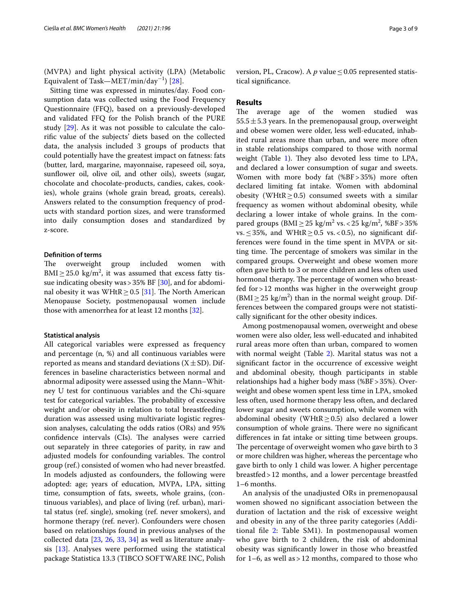(MVPA) and light physical activity (LPA) (Metabolic Equivalent of Task—MET/min/day<sup>−1</sup>) [[28\]](#page-8-1).

Sitting time was expressed in minutes/day. Food consumption data was collected using the Food Frequency Questionnaire (FFQ), based on a previously-developed and validated FFQ for the Polish branch of the PURE study [[29](#page-8-2)]. As it was not possible to calculate the calorifc value of the subjects' diets based on the collected data, the analysis included 3 groups of products that could potentially have the greatest impact on fatness: fats (butter, lard, margarine, mayonnaise, rapeseed oil, soya, sunflower oil, olive oil, and other oils), sweets (sugar, chocolate and chocolate-products, candies, cakes, cookies), whole grains (whole grain bread, groats, cereals). Answers related to the consumption frequency of products with standard portion sizes, and were transformed into daily consumption doses and standardized by z-score.

# **Defnition of terms**

The overweight group included women with  $\text{BMI} \geq 25.0 \text{ kg/m}^2$ , it was assumed that excess fatty tissue indicating obesity was>35% BF [[30](#page-8-3)], and for abdominal obesity it was WHtR  $\geq$  0.5 [[31\]](#page-8-4). The North American Menopause Society, postmenopausal women include those with amenorrhea for at least 12 months [\[32](#page-8-5)].

## **Statistical analysis**

All categorical variables were expressed as frequency and percentage (n, %) and all continuous variables were reported as means and standard deviations  $(X \pm SD)$ . Differences in baseline characteristics between normal and abnormal adiposity were assessed using the Mann–Whitney U test for continuous variables and the Chi-square test for categorical variables. The probability of excessive weight and/or obesity in relation to total breastfeeding duration was assessed using multivariate logistic regression analyses, calculating the odds ratios (ORs) and 95% confidence intervals (CIs). The analyses were carried out separately in three categories of parity, in raw and adjusted models for confounding variables. The control group (ref.) consisted of women who had never breastfed. In models adjusted as confounders, the following were adopted: age; years of education, MVPA, LPA, sitting time, consumption of fats, sweets, whole grains, (continuous variables), and place of living (ref. urban), marital status (ref. single), smoking (ref. never smokers), and hormone therapy (ref. never). Confounders were chosen based on relationships found in previous analyses of the collected data [\[23](#page-7-19), [26](#page-8-6), [33,](#page-8-7) [34\]](#page-8-8) as well as literature analysis [[13\]](#page-7-8). Analyses were performed using the statistical package Statistica 13.3 (TIBCO SOFTWARE INC, Polish version, PL, Cracow). A  $p$  value  $\leq$  0.05 represented statistical signifcance.

# **Results**

The average age of the women studied was  $55.5 \pm 5.3$  years. In the premenopausal group, overweight and obese women were older, less well-educated, inhabited rural areas more than urban, and were more often in stable relationships compared to those with normal weight (Table [1](#page-3-0)). They also devoted less time to LPA, and declared a lower consumption of sugar and sweets. Women with more body fat (%BF>35%) more often declared limiting fat intake. Women with abdominal obesity (WHtR $> 0.5$ ) consumed sweets with a similar frequency as women without abdominal obesity, while declaring a lower intake of whole grains. In the compared groups ( $BMI ≥ 25 \text{ kg/m}^2 \text{ vs.} < 25 \text{ kg/m}^2$ , % $BF > 35\%$ vs.  $\leq$  35%, and WHtR $\geq$  0.5 vs. < 0.5), no significant differences were found in the time spent in MVPA or sitting time. The percentage of smokers was similar in the compared groups. Overweight and obese women more often gave birth to 3 or more children and less often used hormonal therapy. The percentage of women who breastfed for>12 months was higher in the overweight group  $(BMI \geq 25 \text{ kg/m}^2)$  than in the normal weight group. Differences between the compared groups were not statistically signifcant for the other obesity indices.

Among postmenopausal women, overweight and obese women were also older, less well-educated and inhabited rural areas more often than urban, compared to women with normal weight (Table [2\)](#page-4-0). Marital status was not a signifcant factor in the occurrence of excessive weight and abdominal obesity, though participants in stable relationships had a higher body mass (%BF>35%). Overweight and obese women spent less time in LPA, smoked less often, used hormone therapy less often, and declared lower sugar and sweets consumption, while women with abdominal obesity (WHtR $\geq$ 0.5) also declared a lower consumption of whole grains. There were no significant diferences in fat intake or sitting time between groups. The percentage of overweight women who gave birth to 3 or more children was higher, whereas the percentage who gave birth to only 1 child was lower. A higher percentage breastfed>12 months, and a lower percentage breastfed 1–6 months.

An analysis of the unadjusted ORs in premenopausal women showed no signifcant association between the duration of lactation and the risk of excessive weight and obesity in any of the three parity categories (Additional fle [2](#page-7-20): Table SM1). In postmenopausal women who gave birth to 2 children, the risk of abdominal obesity was signifcantly lower in those who breastfed for  $1-6$ , as well as  $> 12$  months, compared to those who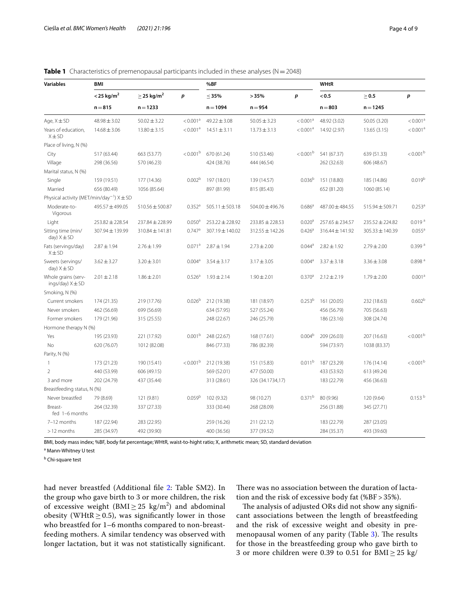| <b>Variables</b>                                          | <b>BMI</b>               |                                           |                      | %BF                 |                  |                      | <b>WHtR</b>     |                     |                      |
|-----------------------------------------------------------|--------------------------|-------------------------------------------|----------------------|---------------------|------------------|----------------------|-----------------|---------------------|----------------------|
|                                                           | $<$ 25 kg/m <sup>2</sup> | $\geq$ 25 kg/m <sup>2</sup><br>$n = 1233$ | p                    | $\leq$ 35%          | >35%             | p                    | < 0.5           | $\geq 0.5$          | p                    |
|                                                           | $n = 815$                |                                           |                      | $n = 1094$          | $n = 954$        |                      | $n = 803$       | $n = 1245$          |                      |
| Age, $X \pm SD$                                           | $48.98 \pm 3.02$         | $50.02 \pm 3.22$                          | < 0.001 <sup>a</sup> | $49.22 \pm 3.08$    | $50.05 \pm 3.23$ | < 0.001 <sup>a</sup> | 48.92 (3.02)    | 50.05 (3.20)        | < 0.001 <sup>a</sup> |
| Years of education,<br>$X \pm SD$                         | $14.68 \pm 3.06$         | $13.80 \pm 3.15$                          | < 0.001 <sup>a</sup> | $14.51 \pm 3.11$    | $13.73 \pm 3.13$ | < 0.001 <sup>a</sup> | 14.92 (2.97)    | 13.65(3.15)         | < 0.001 <sup>a</sup> |
| Place of living, N (%)                                    |                          |                                           |                      |                     |                  |                      |                 |                     |                      |
| City                                                      | 517 (63.44)              | 663 (53.77)                               | < 0.001 <sup>b</sup> | 670 (61.24)         | 510 (53.46)      | < 0.001 <sup>b</sup> | 541 (67.37)     | 639 (51.33)         | $<$ 0.001 $^{\rm b}$ |
| Village                                                   | 298 (36.56)              | 570 (46.23)                               |                      | 424 (38.76)         | 444 (46.54)      |                      | 262 (32.63)     | 606 (48.67)         |                      |
| Marital status, N (%)                                     |                          |                                           |                      |                     |                  |                      |                 |                     |                      |
| Single                                                    | 159 (19.51)              | 177 (14.36)                               | 0.002 <sup>b</sup>   | 197 (18.01)         | 139 (14.57)      | 0.036 <sup>b</sup>   | 151 (18.80)     | 185 (14.86)         | 0.019 <sup>b</sup>   |
| Married                                                   | 656 (80.49)              | 1056 (85.64)                              |                      | 897 (81.99)         | 815 (85.43)      |                      | 652 (81.20)     | 1060 (85.14)        |                      |
| Physical activity (MET/min/day <sup>-1</sup> ) $X \pm SD$ |                          |                                           |                      |                     |                  |                      |                 |                     |                      |
| Moderate-to-<br>Vigorous                                  | 495.57 ± 499.05          | $510.56 \pm 500.87$                       | 0.352 <sup>a</sup>   | $505.11 \pm 503.18$ | 504.00 ± 496.76  | 0.686 <sup>a</sup>   | 487.00 ± 484.55 | 515.94 ± 509.71     | $0.253^{a}$          |
| Light                                                     | $253.82 \pm 228.54$      | 237.84 ± 228.99                           | 0.050 <sup>a</sup>   | 253.22±228.92       | 233.85 ± 228.53  | 0.020 <sup>a</sup>   | 257.65 ± 234.57 | $235.52 \pm 224.82$ | 0.019 <sup>a</sup>   |
| Sitting time (min/<br>day) $X \pm SD$                     | 307.94 ± 139.99          | 310.84 ± 141.81                           | $0.747$ <sup>a</sup> | 307.19 ± 140.02     | 312.55 ± 142.26  | 0.426 <sup>a</sup>   | 316.44 ± 141.92 | 305.33 ± 140.39     | $0.055^{\text{a}}$   |
| Fats (servings/day)<br>$X \pm SD$                         | $2.87 \pm 1.94$          | $2.76 \pm 1.99$                           | 0.071 <sup>a</sup>   | $2.87 \pm 1.94$     | $2.73 \pm 2.00$  | $0.044^{\circ}$      | $2.82 \pm 1.92$ | $2.79 \pm 2.00$     | 0.399 <sup>a</sup>   |
| Sweets (servings/<br>day) $X \pm SD$                      | $3.62 \pm 3.27$          | $3.20 \pm 3.01$                           | 0.004 <sup>a</sup>   | $3.54 \pm 3.17$     | $3.17 \pm 3.05$  | 0.004 <sup>a</sup>   | $3.37 \pm 3.18$ | $3.36 \pm 3.08$     | 0.898 <sup>a</sup>   |
| Whole grains (serv-<br>$ings/day)$ $X \pm SD$             | $2.01 \pm 2.18$          | $1.86 \pm 2.01$                           | 0.526 <sup>a</sup>   | $1.93 \pm 2.14$     | $1.90 \pm 2.01$  | 0.370 <sup>a</sup>   | $2.12 \pm 2.19$ | $1.79 \pm 2.00$     | 0.001 <sup>a</sup>   |
| Smoking, N (%)                                            |                          |                                           |                      |                     |                  |                      |                 |                     |                      |
| Current smokers                                           | 174 (21.35)              | 219 (17.76)                               | 0.026 <sup>b</sup>   | 212 (19.38)         | 181 (18.97)      | $0.253^{b}$          | 161 (20.05)     | 232 (18.63)         | 0.602 <sup>b</sup>   |
| Never smokers                                             | 462 (56.69)              | 699 (56.69)                               |                      | 634 (57.95)         | 527 (55.24)      |                      | 456 (56.79)     | 705 (56.63)         |                      |
| Former smokers                                            | 179 (21.96)              | 315 (25.55)                               |                      | 248 (22.67)         | 246 (25.79)      |                      | 186 (23.16)     | 308 (24.74)         |                      |
| Hormone therapy N (%)                                     |                          |                                           |                      |                     |                  |                      |                 |                     |                      |
| Yes                                                       | 195 (23.93)              | 221 (17.92)                               | 0.001 <sup>b</sup>   | 248 (22.67)         | 168 (17.61)      | 0.004 <sup>b</sup>   | 209 (26.03)     | 207 (16.63)         | $< 0.001^{\rm b}$    |
| <b>No</b>                                                 | 620 (76.07)              | 1012 (82.08)                              |                      | 846 (77.33)         | 786 (82.39)      |                      | 594 (73.97)     | 1038 (83.37)        |                      |
| Parity, N (%)                                             |                          |                                           |                      |                     |                  |                      |                 |                     |                      |
| $\mathbf{1}$                                              | 173 (21.23)              | 190 (15.41)                               | $< 0.001^{\rm b}$    | 212 (19.38)         | 151 (15.83)      | 0.011 <sup>b</sup>   | 187 (23.29)     | 176 (14.14)         | $< 0.001^{\rm b}$    |
| $\overline{2}$                                            | 440 (53.99)              | 606 (49.15)                               |                      | 569 (52.01)         | 477 (50.00)      |                      | 433 (53.92)     | 613 (49.24)         |                      |
| 3 and more                                                | 202 (24.79)              | 437 (35.44)                               |                      | 313 (28.61)         | 326 (34.1734,17) |                      | 183 (22.79)     | 456 (36.63)         |                      |
| Breastfeeding status, N (%)                               |                          |                                           |                      |                     |                  |                      |                 |                     |                      |
| Never breastfed                                           | 79 (8.69)                | 121 (9.81)                                | 0.059 <sup>b</sup>   | 102 (9.32)          | 98 (10.27)       | $0.371^{b}$          | 80 (9.96)       | 120 (9.64)          | 0.153 <sup>b</sup>   |
| Breast-<br>fed 1-6 months                                 | 264 (32.39)              | 337 (27.33)                               |                      | 333 (30.44)         | 268 (28.09)      |                      | 256 (31.88)     | 345 (27.71)         |                      |
| 7-12 months                                               | 187 (22.94)              | 283 (22.95)                               |                      | 259 (16.26)         | 211 (22.12)      |                      | 183 (22.79)     | 287 (23.05)         |                      |
| >12 months                                                | 285 (34.97)              | 492 (39.90)                               |                      | 400 (36.56)         | 377 (39.52)      |                      | 284 (35.37)     | 493 (39.60)         |                      |

<span id="page-3-0"></span>

| <b>Table 1</b> Characteristics of premenopausal participants included in these analyses ( $N = 2048$ ) |  |
|--------------------------------------------------------------------------------------------------------|--|
|--------------------------------------------------------------------------------------------------------|--|

BMI, body mass index; %BF, body fat percentage; WHtR, waist-to-hight ratio; X, arithmetic mean; SD, standard deviation

<sup>a</sup> Mann-Whitney U test

<sup>b</sup> Chi-square test

had never breastfed (Additional fle [2:](#page-7-20) Table SM2). In the group who gave birth to 3 or more children, the risk of excessive weight  $(BMI \geq 25 \text{ kg/m}^2)$  and abdominal obesity (WHtR  $\geq$  0.5), was significantly lower in those who breastfed for 1–6 months compared to non-breastfeeding mothers. A similar tendency was observed with longer lactation, but it was not statistically signifcant.

There was no association between the duration of lactation and the risk of excessive body fat (%BF > 35%).

The analysis of adjusted ORs did not show any significant associations between the length of breastfeeding and the risk of excessive weight and obesity in pre-menopausal women of any parity (Table [3](#page-5-0)). The results for those in the breastfeeding group who gave birth to 3 or more children were 0.39 to 0.51 for  $\text{BMI} \geq 25 \text{ kg}$ /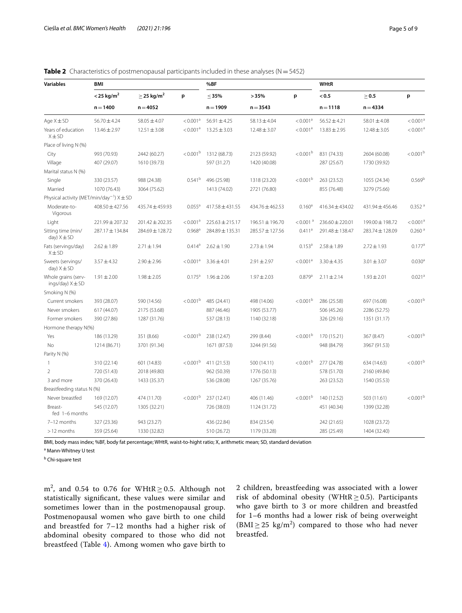<span id="page-4-0"></span>

|  |  | <b>Table 2</b> Characteristics of postmenopausal participants included in these analyses ( $N = 5452$ ) |
|--|--|---------------------------------------------------------------------------------------------------------|
|  |  |                                                                                                         |

| <b>Variables</b>                                          | <b>BMI</b>               |                             |                      | %BF                 |                  |                        | <b>WHtR</b>         |                          |                        |
|-----------------------------------------------------------|--------------------------|-----------------------------|----------------------|---------------------|------------------|------------------------|---------------------|--------------------------|------------------------|
|                                                           | $<$ 25 kg/m <sup>2</sup> | $\geq$ 25 kg/m <sup>2</sup> | p                    | $\leq$ 35%          | >35%             | p                      | < 0.5<br>$n = 1118$ | $\geq$ 0.5<br>$n = 4334$ | p                      |
|                                                           | $n = 1400$               | $n = 4052$                  |                      | $n = 1909$          | $n = 3543$       |                        |                     |                          |                        |
| Age $X \pm SD$                                            | $56.70 \pm 4.24$         | $58.05 \pm 4.07$            | < 0.001 <sup>a</sup> | $56.91 \pm 4.25$    | $58.13 \pm 4.04$ | < 0.001 <sup>a</sup>   | $56.52 \pm 4.21$    | $58.01 \pm 4.08$         | < 0.001 <sup>a</sup>   |
| Years of education<br>$X \pm SD$                          | $13.46 \pm 2.97$         | $12.51 \pm 3.08$            | < 0.001 <sup>a</sup> | $13.25 \pm 3.03$    | $12.48 \pm 3.07$ | < 0.001 <sup>a</sup>   | $13.83 \pm 2.95$    | $12.48 \pm 3.05$         | < 0.001 <sup>a</sup>   |
| Place of living N (%)                                     |                          |                             |                      |                     |                  |                        |                     |                          |                        |
| City                                                      | 993 (70.93)              | 2442 (60.27)                | < 0.001 <sup>b</sup> | 1312 (68.73)        | 2123 (59.92)     | < 0.001 <sup>b</sup>   | 831 (74.33)         | 2604 (60.08)             | $<$ 0.001 <sup>b</sup> |
| Village                                                   | 407 (29.07)              | 1610 (39.73)                |                      | 597 (31.27)         | 1420 (40.08)     |                        | 287 (25.67)         | 1730 (39.92)             |                        |
| Marital status N (%)                                      |                          |                             |                      |                     |                  |                        |                     |                          |                        |
| Single                                                    | 330 (23.57)              | 988 (24.38)                 | $0.541^{b}$          | 496 (25.98)         | 1318 (23.20)     | $< 0.001^{\rm b}$      | 263 (23.52)         | 1055 (24.34)             | 0.569 <sup>b</sup>     |
| Married                                                   | 1070 (76.43)             | 3064 (75.62)                |                      | 1413 (74.02)        | 2721 (76.80)     |                        | 855 (76.48)         | 3279 (75.66)             |                        |
| Physical activity (MET/min/day <sup>-1</sup> ) $X \pm SD$ |                          |                             |                      |                     |                  |                        |                     |                          |                        |
| Moderate-to-<br>Vigorous                                  | $408.50 \pm 427.56$      | 435.74 ± 459.93             | $0.055^{\circ}$      | 417.58 ± 431.55     | 434.76 ± 462.53  | $0.160^{\circ}$        | $416.34 \pm 434.02$ | 431.94 ± 456.46          | 0.352 <sup>a</sup>     |
| Light                                                     | 221.99 ± 207.32          | $201.42 \pm 202.35$         | < 0.001 <sup>a</sup> | $225.63 \pm 215.17$ | 196.51 ± 196.70  | $< 0.001$ <sup>a</sup> | 236.60 ± 220.01     | 199.00 ± 198.72          | < 0.001 <sup>a</sup>   |
| Sitting time (min/<br>day) $X \pm SD$                     | 287.17 ± 134.84          | $284.69 \pm 128.72$         | $0.968$ <sup>a</sup> | 284.89 ± 135.31     | 285.57 ± 127.56  | $0.411$ <sup>a</sup>   | 291.48 ± 138.47     | 283.74 ± 128.09          | 0.260 <sup>a</sup>     |
| Fats (servings/day)<br>$X \pm SD$                         | $2.62 \pm 1.89$          | $2.71 \pm 1.94$             | $0.414^a$            | $2.62 \pm 1.90$     | $2.73 \pm 1.94$  | $0.153^{a}$            | $2.58 \pm 1.89$     | $2.72 \pm 1.93$          | $0.177$ <sup>a</sup>   |
| Sweets (servings/<br>day) $X \pm SD$                      | $3.57 \pm 4.32$          | $2.90 \pm 2.96$             | < 0.001 <sup>a</sup> | $3.36 \pm 4.01$     | $2.91 \pm 2.97$  | < 0.001 <sup>a</sup>   |                     | $3.01 \pm 3.07$          | 0.030 <sup>a</sup>     |
| Whole grains (serv-<br>ings/day) $X \pm SD$               | $1.91 \pm 2.00$          | $1.98 \pm 2.05$             | $0.175^{\text{a}}$   | $1.96 \pm 2.06$     | $1.97 \pm 2.03$  | $0.879$ <sup>a</sup>   | $2.11 \pm 2.14$     | $1.93 \pm 2.01$          | 0.021 <sup>a</sup>     |
| Smoking N (%)                                             |                          |                             |                      |                     |                  |                        |                     |                          |                        |
| Current smokers                                           | 393 (28.07)              | 590 (14.56)                 | < 0.001 <sup>b</sup> | 485 (24.41)         | 498 (14.06)      | $< 0.001^{\rm b}$      | 286 (25.58)         | 697 (16.08)              | $<$ 0.001 <sup>b</sup> |
| Never smokers                                             | 617 (44.07)              | 2175 (53.68)                |                      | 887 (46.46)         | 1905 (53.77)     |                        | 506 (45.26)         | 2286 (52.75)             |                        |
| Former smokers                                            | 390 (27.86)              | 1287 (31.76)                |                      | 537 (28.13)         | 1140 (32.18)     |                        | 326 (29.16)         | 1351 (31.17)             |                        |
| Hormone therapy N(%)                                      |                          |                             |                      |                     |                  |                        |                     |                          |                        |
| Yes                                                       | 186 (13.29)              | 351 (8.66)                  | $< 0.001^{\rm b}$    | 238 (12.47)         | 299 (8.44)       | $< 0.001^{\rm b}$      | 170 (15.21)         | 367 (8.47)               | $< 0.001^{\rm b}$      |
| <b>No</b>                                                 | 1214 (86.71)             | 3701 (91.34)                |                      | 1671 (87.53)        | 3244 (91.56)     |                        | 948 (84.79)         | 3967 (91.53)             |                        |
| Parity N (%)                                              |                          |                             |                      |                     |                  |                        |                     |                          |                        |
| $\mathbf{1}$                                              | 310 (22.14)              | 601 (14.83)                 | < 0.001 <sup>b</sup> | 411 (21.53)         | 500 (14.11)      | < 0.001 <sup>b</sup>   | 277 (24.78)         | 634 (14.63)              | $< 0.001^{\rm b}$      |
| $\mathcal{P}$                                             | 720 (51.43)              | 2018 (49.80)                |                      | 962 (50.39)         | 1776 (50.13)     |                        | 578 (51.70)         | 2160 (49.84)             |                        |
| 3 and more                                                | 370 (26.43)              | 1433 (35.37)                |                      | 536 (28.08)         | 1267 (35.76)     |                        | 263 (23.52)         | 1540 (35.53)             |                        |
| Breastfeeding status N (%)                                |                          |                             |                      |                     |                  |                        |                     |                          |                        |
| Never breastfed                                           | 169 (12.07)              | 474 (11.70)                 | $< 0.001^{\rm b}$    | 237 (12.41)         | 406 (11.46)      | $< 0.001^{\rm b}$      | 140 (12.52)         | 503 (11.61)              | $< 0.001^{\rm b}$      |
| Breast-<br>fed 1-6 months                                 | 545 (12.07)              | 1305 (32.21)                |                      | 726 (38.03)         | 1124 (31.72)     |                        | 451 (40.34)         | 1399 (32.28)             |                        |
| 7-12 months                                               | 327 (23.36)              | 943 (23.27)                 |                      | 436 (22.84)         | 834 (23.54)      |                        | 242 (21.65)         | 1028 (23.72)             |                        |
| >12 months                                                | 359 (25.64)              | 1330 (32.82)                |                      | 510 (26.72)         | 1179 (33.28)     |                        | 285 (25.49)         | 1404 (32.40)             |                        |

BMI, body mass index; %BF, body fat percentage; WHtR, waist-to-hight ratio; X, arithmetic mean; SD, standard deviation

<sup>a</sup> Mann-Whitney U test

<sup>b</sup> Chi-square test

m<sup>2</sup>, and 0.54 to 0.76 for WHtR  $\geq$  0.5. Although not statistically signifcant, these values were similar and sometimes lower than in the postmenopausal group. Postmenopausal women who gave birth to one child and breastfed for 7–12 months had a higher risk of abdominal obesity compared to those who did not breastfeed (Table [4](#page-5-1)). Among women who gave birth to

2 children, breastfeeding was associated with a lower risk of abdominal obesity (WHtR  $\geq$  0.5). Participants who gave birth to 3 or more children and breastfed for 1–6 months had a lower risk of being overweight  $(BMI \ge 25 \text{ kg/m}^2)$  compared to those who had never breastfed.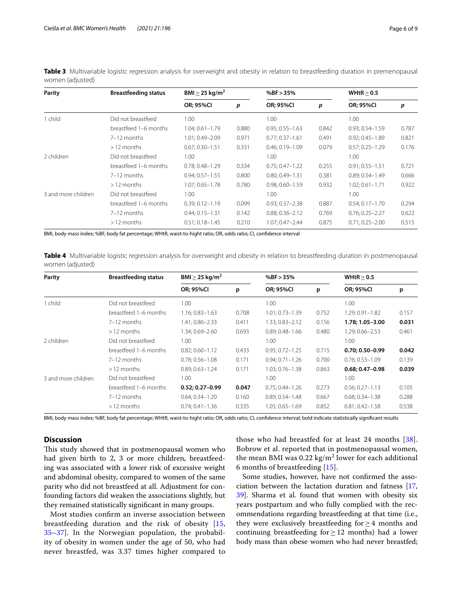| Parity              | <b>Breastfeeding status</b> | BMI $>$ 25 kg/m <sup>2</sup> |       | % $BF > 35%$        |       | WHtR > 0.5          |       |
|---------------------|-----------------------------|------------------------------|-------|---------------------|-------|---------------------|-------|
|                     |                             | <b>OR; 95%CI</b>             | p     | <b>OR; 95%CI</b>    | p     | <b>OR; 95%CI</b>    | p     |
| 1 child             | Did not breastfeed          | 1.00                         |       | 1.00                |       | 1.00                |       |
|                     | breastfeed 1-6 months       | $1.04; 0.61 - 1.79$          | 0.880 | $0.95; 0.55 - 1.63$ | 0.842 | $0.93; 0.54 - 1.59$ | 0.787 |
|                     | 7-12 months                 | 1.01; 0.49-2.09              | 0.971 | $0.77; 0.37 - 1.61$ | 0.491 | $0.92; 0.45 - 1.89$ | 0.821 |
|                     | $>12$ months                | $0.67; 0.30 - 1.51$          | 0.331 | $0.46; 0.19 - 1.09$ | 0.079 | $0.57; 0.25 - 1.29$ | 0.176 |
| 2 children          | Did not breastfeed          | 1.00                         |       | 1.00                |       | 1.00                |       |
|                     | breastfeed 1-6 months       | $0.78; 0.48 - 1.29$          | 0.334 | $0.75; 0.47 - 1.22$ | 0.255 | $0.91; 0.55 - 1.51$ | 0.721 |
|                     | 7-12 months                 | $0.94:0.57 - 1.55$           | 0.800 | $0.80:0.49 - 1.31$  | 0.381 | $0.89:0.54 - 1.49$  | 0.666 |
|                     | $>12$ months                | $1.07; 0.65 - 1.78$          | 0.780 | $0.98; 0.60 - 1.59$ | 0.932 | $1.02; 0.61 - 1.71$ | 0.922 |
| 3 and more children | Did not breastfeed          | 1.00                         |       | 1.00                |       | 1.00                |       |
|                     | breastfeed 1-6 months       | $0.39; 0.12 - 1.19$          | 0.099 | $0.93; 0.37 - 2.38$ | 0.887 | $0.54; 0.17 - 1.70$ | 0.294 |
|                     | 7-12 months                 | $0.44; 0.15 - 1.31$          | 0.142 | $0.88; 0.36 - 2.12$ | 0.769 | $0.76; 0.25 - 2.27$ | 0.622 |
|                     | $>12$ months                | $0.51; 0.18 - 1.45$          | 0.210 | $1.07; 0.47 - 2.44$ | 0.875 | $0.71; 0.25 - 2.00$ | 0.515 |

<span id="page-5-0"></span>**Table 3** Multivariable logistic regression analysis for overweight and obesity in relation to breastfeeding duration in premenopausal women (adjusted)

BMI, body mass index; %BF, body fat percentage; WHtR, waist-to-hight ratio; OR, odds ratio; CI, confdence interval

<span id="page-5-1"></span>**Table 4** Multivariable logistic regression analysis for overweight and obesity in relation to breastfeeding duration in postmenopausal women (adjusted)

| Parity              | <b>Breastfeeding status</b> | BMI $>$ 25 kg/m <sup>2</sup> |       | % $BF > 35%$        |       | WHtR > 0.5          |       |
|---------------------|-----------------------------|------------------------------|-------|---------------------|-------|---------------------|-------|
|                     |                             | <b>OR; 95%CI</b>             | p     | <b>OR; 95%CI</b>    | p     | <b>OR; 95%CI</b>    | p     |
| 1 child             | Did not breastfeed          | 1.00                         |       | 1.00                |       | 1.00                |       |
|                     | breastfeed 1-6 months       | $1.16; 0.83 - 1.63$          | 0.708 | $1.01; 0.73 - 1.39$ | 0.752 | 1.29; 0.91-1.82     | 0.157 |
|                     | 7-12 months                 | 1.41; 0.86-2.33              | 0.411 | 1.33; 0.83-2.12     | 0.156 | 1.78; 1.05-3.00     | 0.031 |
|                     | $>12$ months                | 1.34: 0.69-2.60              | 0.693 | $0.89:0.48 - 1.66$  | 0.480 | 1.29: 0.66-2.53     | 0.461 |
| 2 children          | Did not breastfeed          | 1.00                         |       | 1.00                |       | 1.00                |       |
|                     | breastfeed 1-6 months       | $0.82; 0.60 - 1.12$          | 0.433 | $0.95; 0.72 - 1.25$ | 0.715 | $0.70; 0.50 - 0.99$ | 0.042 |
|                     | 7-12 months                 | $0.78; 0.56 - 1.08$          | 0.171 | $0.94; 0.71 - 1.26$ | 0.700 | $0.76; 0.53 - 1.09$ | 0.139 |
|                     | $>12$ months                | $0.89; 0.63 - 1.24$          | 0.171 | $1.03:0.76 - 1.38$  | 0.863 | $0.68:0.47-0.98$    | 0.039 |
| 3 and more children | Did not breastfeed          | 1.00                         |       | 1.00                |       | 1.00                |       |
|                     | breastfeed 1-6 months       | $0.52; 0.27 - 0.99$          | 0.047 | $0.75; 0.44 - 1.26$ | 0.273 | $0.56; 0.27 - 1.13$ | 0.105 |
|                     | 7-12 months                 | $0.64; 0.34 - 1.20$          | 0.160 | $0.89; 0.54 - 1.48$ | 0.667 | $0.68; 0.34 - 1.38$ | 0.288 |
|                     | $>12$ months                | $0.74:0.41-1.36$             | 0.335 | $1.05; 0.65 - 1.69$ | 0.852 | $0.81; 0.42 - 1.58$ | 0.538 |

BMI, body mass index; %BF, body fat percentage; WHtR, waist-to-hight ratio; OR, odds ratio; CI, confdence interval; bold indicate statistically signifcant results

# **Discussion**

This study showed that in postmenopausal women who had given birth to 2, 3 or more children, breastfeeding was associated with a lower risk of excessive weight and abdominal obesity, compared to women of the same parity who did not breastfeed at all. Adjustment for confounding factors did weaken the associations slightly, but they remained statistically signifcant in many groups.

Most studies confrm an inverse association between breastfeeding duration and the risk of obesity [\[15](#page-7-10), [35–](#page-8-9)[37\]](#page-8-10). In the Norwegian population, the probability of obesity in women under the age of 50, who had never breastfed, was 3.37 times higher compared to those who had breastfed for at least 24 months [[38](#page-8-11)]. Bobrow et al. reported that in postmenopausal women, the mean BMI was  $0.22 \text{ kg/m}^2$  lower for each additional 6 months of breastfeeding [[15](#page-7-10)].

Some studies, however, have not confrmed the association between the lactation duration and fatness [[17](#page-7-12), [39\]](#page-8-12). Sharma et al. found that women with obesity six years postpartum and who fully complied with the recommendations regarding breastfeeding at that time (i.e., they were exclusively breastfeeding for≥4 months and continuing breastfeeding for  $\geq$  12 months) had a lower body mass than obese women who had never breastfed;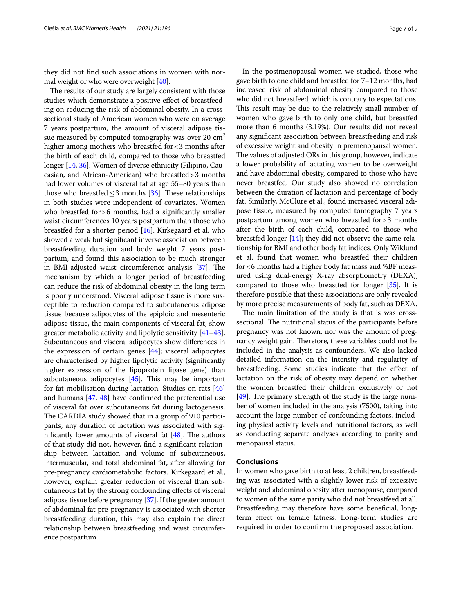they did not fnd such associations in women with normal weight or who were overweight [[40](#page-8-13)].

The results of our study are largely consistent with those studies which demonstrate a positive efect of breastfeeding on reducing the risk of abdominal obesity. In a crosssectional study of American women who were on average 7 years postpartum, the amount of visceral adipose tissue measured by computed tomography was over  $20 \text{ cm}^2$ higher among mothers who breastfed for <3 months after the birth of each child, compared to those who breastfed longer [[14](#page-7-9), [36\]](#page-8-14). Women of diverse ethnicity (Filipino, Caucasian, and African-American) who breastfed>3 months had lower volumes of visceral fat at age 55–80 years than those who breastfed  $\leq$ 3 months [\[36\]](#page-8-14). These relationships in both studies were independent of covariates. Women who breastfed for > 6 months, had a significantly smaller waist circumferences 10 years postpartum than those who breastfed for a shorter period [\[16](#page-7-11)]. Kirkegaard et al. who showed a weak but signifcant inverse association between breastfeeding duration and body weight 7 years postpartum, and found this association to be much stronger in BMI-adjusted waist circumference analysis  $[37]$  $[37]$  $[37]$ . The mechanism by which a longer period of breastfeeding can reduce the risk of abdominal obesity in the long term is poorly understood. Visceral adipose tissue is more susceptible to reduction compared to subcutaneous adipose tissue because adipocytes of the epiploic and mesenteric adipose tissue, the main components of visceral fat, show greater metabolic activity and lipolytic sensitivity [\[41–](#page-8-15)[43](#page-8-16)]. Subcutaneous and visceral adipocytes show diferences in the expression of certain genes [\[44\]](#page-8-17); visceral adipocytes are characterised by higher lipolytic activity (signifcantly higher expression of the lipoprotein lipase gene) than subcutaneous adipocytes  $[45]$ . This may be important for fat mobilisation during lactation. Studies on rats [[46](#page-8-19)] and humans [\[47](#page-8-20), [48](#page-8-21)] have confrmed the preferential use of visceral fat over subcutaneous fat during lactogenesis. The CARDIA study showed that in a group of 910 participants, any duration of lactation was associated with significantly lower amounts of visceral fat  $[48]$ . The authors of that study did not, however, fnd a signifcant relationship between lactation and volume of subcutaneous, intermuscular, and total abdominal fat, after allowing for pre-pregnancy cardiometabolic factors. Kirkegaard et al., however, explain greater reduction of visceral than subcutaneous fat by the strong confounding efects of visceral adipose tissue before pregnancy [\[37\]](#page-8-10). If the greater amount of abdominal fat pre-pregnancy is associated with shorter breastfeeding duration, this may also explain the direct relationship between breastfeeding and waist circumference postpartum.

In the postmenopausal women we studied, those who gave birth to one child and breastfed for 7–12 months, had increased risk of abdominal obesity compared to those who did not breastfeed, which is contrary to expectations. This result may be due to the relatively small number of women who gave birth to only one child, but breastfed more than 6 months (3.19%). Our results did not reveal any signifcant association between breastfeeding and risk of excessive weight and obesity in premenopausal women. The values of adjusted ORs in this group, however, indicate a lower probability of lactating women to be overweight and have abdominal obesity, compared to those who have never breastfed. Our study also showed no correlation between the duration of lactation and percentage of body fat. Similarly, McClure et al., found increased visceral adipose tissue, measured by computed tomography 7 years postpartum among women who breastfed for>3 months after the birth of each child, compared to those who breastfed longer [\[14\]](#page-7-9); they did not observe the same relationship for BMI and other body fat indices. Only Wiklund et al. found that women who breastfed their children for<6 months had a higher body fat mass and %BF measured using dual-energy X-ray absorptiometry (DEXA), compared to those who breastfed for longer [[35](#page-8-9)]. It is therefore possible that these associations are only revealed by more precise measurements of body fat, such as DEXA.

The main limitation of the study is that is was crosssectional. The nutritional status of the participants before pregnancy was not known, nor was the amount of pregnancy weight gain. Therefore, these variables could not be included in the analysis as confounders. We also lacked detailed information on the intensity and regularity of breastfeeding. Some studies indicate that the efect of lactation on the risk of obesity may depend on whether the women breastfed their children exclusively or not  $[49]$  $[49]$  $[49]$ . The primary strength of the study is the large number of women included in the analysis (7500), taking into account the large number of confounding factors, including physical activity levels and nutritional factors, as well as conducting separate analyses according to parity and menopausal status.

# **Conclusions**

In women who gave birth to at least 2 children, breastfeeding was associated with a slightly lower risk of excessive weight and abdominal obesity after menopause, compared to women of the same parity who did not breastfeed at all. Breastfeeding may therefore have some benefcial, longterm efect on female fatness. Long-term studies are required in order to confrm the proposed association.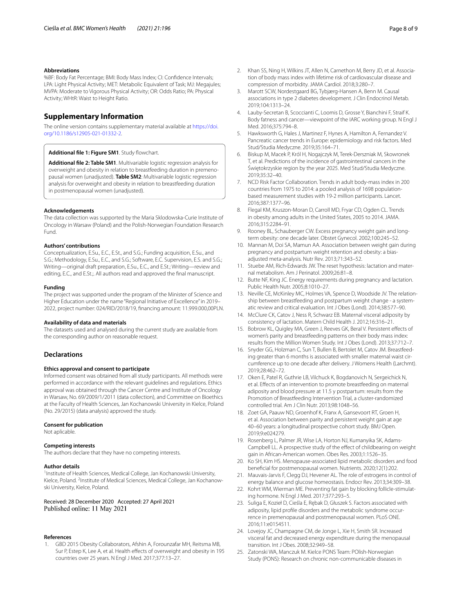#### **Abbreviations**

%BF: Body Fat Percentage; BMI: Body Mass Index; CI: Confdence Intervals; LPA: Light Physical Activity; MET: Metabolic Equivalent of Task; MJ: Megajules; MVPA: Moderate to Vigorous Physical Activity; OR: Odds Ratio; PA: Physical Activity; WHtR: Waist to Height Ratio.

## **Supplementary Information**

The online version contains supplementary material available at [https://doi.](https://doi.org/10.1186/s12905-021-01332-2) [org/10.1186/s12905-021-01332-2](https://doi.org/10.1186/s12905-021-01332-2).

<span id="page-7-18"></span>Additional file 1: Figure SM1. Study flowchart.

**Additional fle 2: Table SM1**. Multivariable logistic regression analysis for overweight and obesity in relation to breastfeeding duration in premenopausal women (unadjusted). **Table SM2**: Multivariable logistic regression analysis for overweight and obesity in relation to breastfeeding duration in postmenopausal women (unadjusted).

#### **Acknowledgements**

The data collection was supported by the Maria Sklodowska-Curie Institute of Oncology in Warsaw (Poland) and the Polish-Norwegian Foundation Research Fund.

#### **Authors' contributions**

Conceptualization, E.Su., E.C., E.St., and S.G.; Funding acquisition, E.Su., and S.G.; Methodology, E.Su., E.C., and S.G.; Software, E.C. Supervision, E.S. and S.G.; Writing—original draft preparation, E.Su., E.C., and E.St.; Writing—review and editing, E.C., and E.St.;. All authors read and approved the fnal manuscript.

#### **Funding**

The project was supported under the program of the Minister of Science and Higher Education under the name "Regional Initiative of Excellence" in 2019– 2022, project number: 024/RID/2018/19, fnancing amount: 11.999.000,00PLN.

#### **Availability of data and materials**

The datasets used and analysed during the current study are available from the corresponding author on reasonable request.

#### **Declarations**

#### **Ethics approval and consent to participate**

Informed consent was obtained from all study participants. All methods were performed in accordance with the relevant guidelines and regulations. Ethics approval was obtained through the Cancer Centre and Institute of Oncology in Warsaw, No. 69/2009/1/2011 (data collection), and Committee on Bioethics at the Faculty of Health Sciences, Jan Kochanowski University in Kielce, Poland (No. 29/2015) (data analysis) approved the study.

#### **Consent for publication**

Not aplicable.

#### **Competing interests**

The authors declare that they have no competing interests.

#### **Author details**

<sup>1</sup> Institute of Health Sciences, Medical College, Jan Kochanowski University, Kielce, Poland. <sup>2</sup> Institute of Medical Sciences, Medical College, Jan Kochanowski University, Kielce, Poland.

Received: 28 December 2020 Accepted: 27 April 2021 Published online: 11 May 2021

#### **References**

<span id="page-7-0"></span>1. GBD 2015 Obesity Collaborators, Afshin A, Forounzafar MH, Reitsma MB, Sur P, Estep K, Lee A, et al. Health effects of overweight and obesity in 195 countries over 25 years. N Engl J Med. 2017;377:13–27.

- 2. Khan SS, Ning H, Wilkins JT, Allen N, Carnethon M, Berry JD, et al. Association of body mass index with lifetime risk of cardiovascular disease and compression of morbidity. JAMA Cardiol. 2018;3:280–7.
- 3. Marott SCW, Nordestgaard BG, Tybjærg-Hansen A, Benn M. Causal associations in type 2 diabetes development. J Clin Endocrinol Metab. 2019;104:1313–24.
- 4. Lauby-Secretan B, Scoccianti C, Loomis D, Grosse Y, Bianchini F, Straif K. Body fatness and cancer—viewpoint of the IARC working group. N Engl J Med. 2016;375:794–8.
- 5. Hawksworth G, Hales J, Martinez F, Hynes A, Hamilton A, Fernandez V. Pancreatic cancer trends in Europe: epidemiology and risk factors. Med Stud/Studia Medyczne. 2019;35:164–71.
- <span id="page-7-20"></span><span id="page-7-1"></span>6. Biskup M, Macek P, Król H, Nogajczyk M, Terek-Derszniak M, Skowronek T, et al. Predictions of the incidence of gastrointestinal cancers in the Świętokrzyskie region by the year 2025. Med Stud/Studia Medyczne. 2019;35:32–40.
- <span id="page-7-2"></span>7. NCD Risk Factor Collaboration. Trends in adult body-mass index in 200 countries from 1975 to 2014: a pooled analysis of 1698 populationbased measurement studies with 19·2 million participants. Lancet. 2016;387:1377–96.
- <span id="page-7-3"></span>8. Flegal KM, Kruszon-Moran D, Carroll MD, Fryar CD, Ogden CL. Trends in obesity among adults in the United States, 2005 to 2014. JAMA. 2016;315:2284–91.
- <span id="page-7-4"></span>9. Rooney BL, Schauberger CW. Excess pregnancy weight gain and longterm obesity: one decade later. Obstet Gynecol. 2002;100:245–52.
- <span id="page-7-5"></span>10. Mannan M, Doi SA, Mamun AA. Association between weight gain during pregnancy and postpartum weight retention and obesity: a biasadjusted meta-analysis. Nutr Rev. 2013;71:343–52.
- <span id="page-7-6"></span>11. Stuebe AM, Rich-Edwards JW. The reset hypothesis: lactation and maternal metabolism. Am J Perinatol. 2009;26:81–8.
- <span id="page-7-7"></span>12. Butte NF, King JC. Energy requirements during pregnancy and lactation. Public Health Nutr. 2005;8:1010–27.
- <span id="page-7-8"></span>13. Neville CE, McKinley MC, Holmes VA, Spence D, Woodside JV. The relationship between breastfeeding and postpartum weight change - a systematic review and critical evaluation. Int J Obes (Lond). 2014;38:577–90.
- <span id="page-7-9"></span>14. McClure CK, Catov J, Ness R, Schwarz EB. Maternal visceral adiposity by consistency of lactation. Matern Child Health J. 2012;16:316–21.
- <span id="page-7-10"></span>15. Bobrow KL, Quigley MA, Green J, Reeves GK, Beral V. Persistent efects of women's parity and breastfeeding patterns on their body mass index: results from the Million Women Study. Int J Obes (Lond). 2013;37:712–7.
- <span id="page-7-11"></span>16. Snyder GG, Holzman C, Sun T, Bullen B, Bertolet M, Catov JM. Breastfeeding greater than 6 months is associated with smaller maternal waist circumference up to one decade after delivery. J Womens Health (Larchmt). 2019;28:462–72.
- <span id="page-7-12"></span>17. Oken E, Patel R, Guthrie LB, Vilchuck K, Bogdanovich N, Sergeichick N, et al. Efects of an intervention to promote breastfeeding on maternal adiposity and blood pressure at 11.5 y postpartum: results from the Promotion of Breastfeeding Intervention Trial, a cluster-randomized controlled trial. Am J Clin Nutr. 2013;98:1048–56.
- <span id="page-7-13"></span>18. Zoet GA, Paauw ND, Groenhof K, Franx A, Gansevoort RT, Groen H, et al. Association between parity and persistent weight gain at age 40–60 years: a longitudinal prospective cohort study. BMJ Open. 2019;9:e024279.
- <span id="page-7-14"></span>19. Rosenberg L, Palmer JR, Wise LA, Horton NJ, Kumanyika SK, Adams-Campbell LL. A prospective study of the efect of childbearing on weight gain in African-American women. Obes Res. 2003;1:1526–35.
- <span id="page-7-15"></span>20. Ko SH, Kim HS. Menopause-associated lipid metabolic disorders and food benefcial for postmenopausal women. Nutrients. 2020;12(1):202.
- 21. Mauvais-Jarvis F, Clegg DJ, Hevener AL. The role of estrogens in control of energy balance and glucose homeostasis. Endocr Rev. 2013;34:309–38.
- 22. Kohrt WM, Wierman ME. Preventing fat gain by blocking follicle-stimulating hormone. N Engl J Med. 2017;377:293–5.
- <span id="page-7-19"></span>23. Suliga E, Kozieł D, Cieśla E, Rębak D, Głuszek S. Factors associated with adiposity, lipid profle disorders and the metabolic syndrome occurrence in premenopausal and postmenopausal women. PLoS ONE. 2016;11:e0154511.
- <span id="page-7-16"></span>24. Lovejoy JC, Champagne CM, de Jonge L, Xie H, Smith SR. Increased visceral fat and decreased energy expenditure during the menopausal transition. Int J Obes. 2008;32:949–58.
- <span id="page-7-17"></span>25. Zatonski WA, Manczuk M. Kielce PONS Team: POlish-Norwegian Study (PONS): Research on chronic non-communicable diseases in